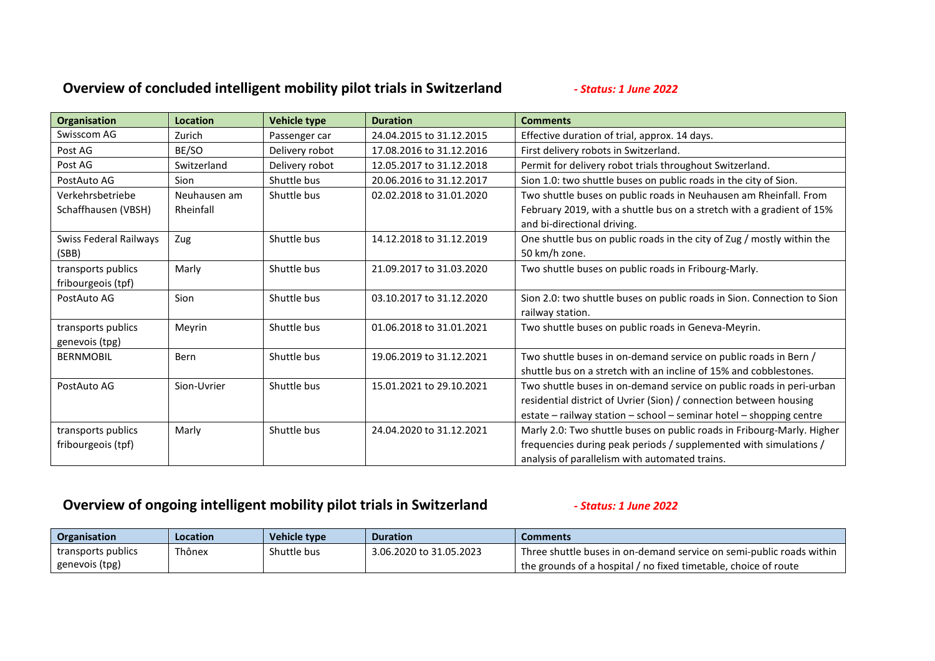## **Overview of concluded intelligent mobility pilot trials in Switzerland** *- Status: 1 June 2022*

| <b>Organisation</b>    | Location     | <b>Vehicle type</b> | <b>Duration</b>          | <b>Comments</b>                                                         |
|------------------------|--------------|---------------------|--------------------------|-------------------------------------------------------------------------|
| Swisscom AG            | Zurich       | Passenger car       | 24.04.2015 to 31.12.2015 | Effective duration of trial, approx. 14 days.                           |
| Post AG                | BE/SO        | Delivery robot      | 17.08.2016 to 31.12.2016 | First delivery robots in Switzerland.                                   |
| Post AG                | Switzerland  | Delivery robot      | 12.05.2017 to 31.12.2018 | Permit for delivery robot trials throughout Switzerland.                |
| PostAuto AG            | Sion         | Shuttle bus         | 20.06.2016 to 31.12.2017 | Sion 1.0: two shuttle buses on public roads in the city of Sion.        |
| Verkehrsbetriebe       | Neuhausen am | Shuttle bus         | 02.02.2018 to 31.01.2020 | Two shuttle buses on public roads in Neuhausen am Rheinfall. From       |
| Schaffhausen (VBSH)    | Rheinfall    |                     |                          | February 2019, with a shuttle bus on a stretch with a gradient of 15%   |
|                        |              |                     |                          | and bi-directional driving.                                             |
| Swiss Federal Railways | Zug          | Shuttle bus         | 14.12.2018 to 31.12.2019 | One shuttle bus on public roads in the city of Zug / mostly within the  |
| (SBB)                  |              |                     |                          | 50 km/h zone.                                                           |
| transports publics     | Marly        | Shuttle bus         | 21.09.2017 to 31.03.2020 | Two shuttle buses on public roads in Fribourg-Marly.                    |
| fribourgeois (tpf)     |              |                     |                          |                                                                         |
| PostAuto AG            | Sion         | Shuttle bus         | 03.10.2017 to 31.12.2020 | Sion 2.0: two shuttle buses on public roads in Sion. Connection to Sion |
|                        |              |                     |                          | railway station.                                                        |
| transports publics     | Meyrin       | Shuttle bus         | 01.06.2018 to 31.01.2021 | Two shuttle buses on public roads in Geneva-Meyrin.                     |
| genevois (tpg)         |              |                     |                          |                                                                         |
| <b>BERNMOBIL</b>       | Bern         | Shuttle bus         | 19.06.2019 to 31.12.2021 | Two shuttle buses in on-demand service on public roads in Bern /        |
|                        |              |                     |                          | shuttle bus on a stretch with an incline of 15% and cobblestones.       |
| PostAuto AG            | Sion-Uvrier  | Shuttle bus         | 15.01.2021 to 29.10.2021 | Two shuttle buses in on-demand service on public roads in peri-urban    |
|                        |              |                     |                          | residential district of Uvrier (Sion) / connection between housing      |
|                        |              |                     |                          | estate - railway station - school - seminar hotel - shopping centre     |
| transports publics     | Marly        | Shuttle bus         | 24.04.2020 to 31.12.2021 | Marly 2.0: Two shuttle buses on public roads in Fribourg-Marly. Higher  |
| fribourgeois (tpf)     |              |                     |                          | frequencies during peak periods / supplemented with simulations /       |
|                        |              |                     |                          | analysis of parallelism with automated trains.                          |

## **Overview of ongoing intelligent mobility pilot trials in Switzerland** *- Status: 1 June 2022*

| Organisation       | <b>Location</b> | Vehicle type | <b>Duration</b>         | <b>Comments</b>                                                      |
|--------------------|-----------------|--------------|-------------------------|----------------------------------------------------------------------|
| transports publics | Thônex          | Shuttle bus  | 3.06.2020 to 31.05.2023 | Three shuttle buses in on-demand service on semi-public roads within |
| genevois (tpg)     |                 |              |                         | the grounds of a hospital / no fixed timetable, choice of route      |